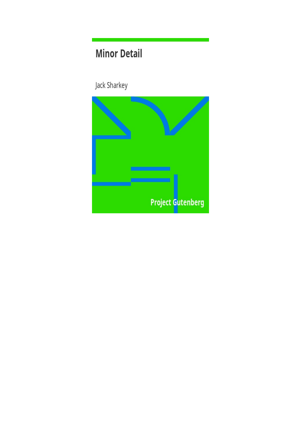# **Minor Detail**

Jack Sharkey

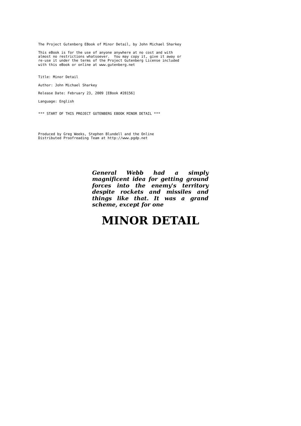The Project Gutenberg EBook of Minor Detail, by John Michael Sharkey

This eBook is for the use of anyone anywhere at no cost and with almost no restrictions whatsoever. You may copy it, give it away or re-use it under the terms of the Project Gutenberg License included with this eBook or online at www.gutenberg.net

Title: Minor Detail

Author: John Michael Sharkey

Release Date: February 23, 2009 [EBook #28156]

Language: English

\*\*\* START OF THIS PROJECT GUTENBERG EBOOK MINOR DETAIL \*\*\*

Produced by Greg Weeks, Stephen Blundell and the Online Distributed Proofreading Team at http://www.pgdp.net

> *General Webb had a simply magnificent idea for getting ground forces into the enemy's territory despite rockets and missiles and things like that. It was a grand scheme, except for one*

## **MINOR DETAIL**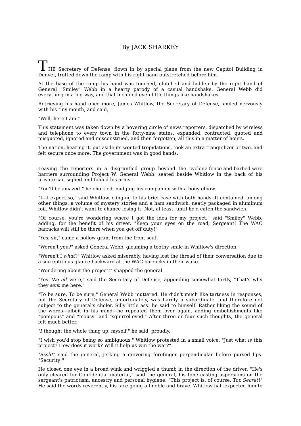## By JACK SHARKEY

 $\perp$  HE Secretary of Defense, flown in by special plane from the new Capitol Building in Denver, trotted down the ramp with his right hand outstretched before him.

At the base of the ramp his hand was touched, clutched and hidden by the right hand of General "Smiley" Webb in a hearty parody of a casual handshake. General Webb did everything in a big way, and that included even little things like handshakes.

Retrieving his hand once more, James Whitlow, the Secretary of Defense, smiled nervously with his tiny mouth, and said,

"Well, here I am."

This statement was taken down by a hovering circle of news reporters, dispatched by wireless and telephone to every town in the forty-nine states, expanded, contracted, quoted and misquoted, ignored and misconstrued, and then forgotten; all this in a matter of hours.

The nation, hearing it, put aside its wonted trepidations, took an extra tranquilizer or two, and felt secure once more. The government was in good hands.

Leaving the reporters in a disgruntled group beyond the cyclone-fence-and-barbed-wire barriers surrounding Project W, General Webb, seated beside Whitlow in the back of his private car, sighed and folded his arms.

"You'll be amazed!" he chortled, nudging his companion with a bony elbow.

"I—I expect so," said Whitlow, clinging to his brief case with both hands. It contained, among other things, a volume of mystery stories and a ham sandwich, neatly packaged in aluminum foil. Whitlow didn't want to chance losing it. Not, at least, until he'd eaten the sandwich.

"Of course, you're wondering where I got the idea for my project," said "Smiley" Webb, adding, for the benefit of his driver, "Keep your eyes on the road, Sergeant! The WAC barracks will still be there when you get off duty!"

"Yes, sir," came a hollow grunt from the front seat.

"Weren't you?" asked General Webb, gleaming a toothy smile in Whitlow's direction.

"Weren't I *what*?" Whitlow asked miserably, having lost the thread of their conversation due to a surreptitious glance backward at the WAC barracks in their wake.

"Wondering about the project!" snapped the general.

"Yes. We *all* were," said the Secretary of Defense, appending somewhat tartly, "That's why they *sent* me here."

"To be sure. To be sure," General Webb muttered. He didn't much like tartness in responses, but the Secretary of Defense, unfortunately, was hardly a subordinate, and therefore not subject to the general's choler. Silly little ass! he said to himself. Rather liking the sound of the words—albeit in his mind—he repeated them over again, adding embellishments like "pompous" and "mousy" and "squirrel-eyed." After three or four such thoughts, the general felt much better.

"*I* thought the whole thing up, myself," he said, proudly.

"I wish you'd stop being so ambiguous," Whitlow protested in a small voice. "Just what *is* this project? How does it work? Will it help us win the war?"

"*Sssh!*" said the general, jerking a quivering forefinger perpendicular before pursed lips. "Security!"

He closed one eye in a broad wink and wriggled a thumb in the direction of the driver. "He's only cleared for Confidential material," said the general, his tone casting aspersions on the sergeant's patriotism, ancestry and personal hygiene. "This project is, of course, *Top Secret*!" He said the words reverently, his face going all noble and brave. Whitlow half-expected him to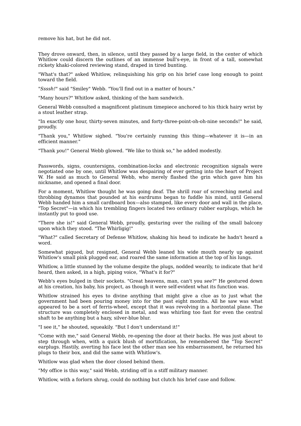remove his hat, but he did not.

They drove onward, then, in silence, until they passed by a large field, in the center of which Whitlow could discern the outlines of an immense bull's-eye, in front of a tall, somewhat rickety khaki-colored reviewing stand, draped in tired bunting.

"What's that?" asked Whitlow, relinquishing his grip on his brief case long enough to point toward the field.

"*Ssssh!*" said "Smiley" Webb. "You'll find out in a matter of hours."

"Many hours?" Whitlow asked, thinking of the ham sandwich.

General Webb consulted a magnificent platinum timepiece anchored to his thick hairy wrist by a stout leather strap.

"In exactly one hour, thirty-seven minutes, and forty-three-point-oh-oh-nine seconds!" he said, proudly.

"Thank you," Whitlow sighed. "You're certainly running this thing—whatever it is—in an efficient manner."

"Thank *you*!" General Webb glowed. "We like to think so," he added modestly.

Passwords, signs, countersigns, combination-locks and electronic recognition signals were negotiated one by one, until Whitlow was despairing of ever getting into the heart of Project W. He said as much to General Webb, who merely flashed the grin which gave him his nickname, and opened a final door.

For a moment, Whitlow thought he was going deaf. The shrill roar of screeching metal and throbbing dynamos that pounded at his eardrums began to fuddle his mind, until General Webb handed him a small cardboard box—also stamped, like every door and wall in the place, "Top Secret"—in which his trembling fingers located two ordinary rubber earplugs, which he instantly put to good use.

"There she is!" said General Webb, proudly, gesturing over the railing of the small balcony upon which they stood. "The Whirligig!"

"What?" called Secretary of Defense Whitlow, shaking his head to indicate he hadn't heard a word.

Somewhat piqued, but resigned, General Webb leaned his wide mouth nearly up against Whitlow's small pink plugged ear, and roared the same information at the top of his lungs.

Whitlow, a little stunned by the volume despite the plugs, nodded wearily, to indicate that he'd heard, then asked, in a high, piping voice, "What's it for?"

Webb's eyes bulged in their sockets. "Great heavens, man, can't you *see*?" He gestured down at his creation, his baby, his project, as though it were self-evident what its function was.

Whitlow strained his eyes to divine anything that might give a clue as to just what the government had been pouring money into for the past eight months. All he saw was what appeared to be a sort of ferris-wheel, except that it was revolving in a horizontal plane. The structure was completely enclosed in metal, and was whirling too fast for even the central shaft to be anything but a hazy, silver-blue blur.

"I see it," he shouted, squeakily. "But I don't understand it!"

"Come with me," said General Webb, re-opening the door at their backs. He was just about to step through when, with a quick blush of mortification, he remembered the "Top Secret" earplugs. Hastily, averting his face lest the other man see his embarrassment, he returned his plugs to their box, and did the same with Whitlow's.

Whitlow was glad when the door closed behind them.

"My office is this way," said Webb, striding off in a stiff military manner.

Whitlow, with a forlorn shrug, could do nothing but clutch his brief case and follow.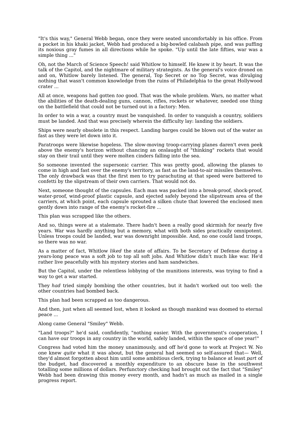"It's this way," General Webb began, once they were seated uncomfortably in his office. From a pocket in his khaki jacket, Webb had produced a big-bowled calabash pipe, and was puffing its noxious gray fumes in all directions while he spoke. "Up until the late fifties, war was a simple thing ..."

Oh, not the March of Science Speech! said Whitlow to himself. He knew it by heart. It was the talk of the Capitol, and the nightmare of military strategists. As the general's voice droned on and on, Whitlow barely listened. The general, Top Secret or no Top Secret, was divulging nothing that wasn't common knowledge from the ruins of Philadelphia to the great Hollywood crater ...

All at once, weapons had gotten *too* good. That was the whole problem. Wars, no matter what the abilities of the death-dealing guns, cannon, rifles, rockets or whatever, needed one thing on the battlefield that could not be turned out in a factory: Men.

In order to win a war, a country must be vanquished. In order to vanquish a country, soldiers must be landed. And that was precisely wherein the difficulty lay: landing the soldiers.

Ships were nearly obsolete in this respect. Landing barges could be blown out of the water as fast as they were let down into it.

Paratroops were likewise hopeless. The slow-moving troop-carrying planes daren't even peek above the enemy's horizon without chancing an onslaught of "thinking" rockets that would stay on their trail until they were molten cinders falling into the sea.

So someone invented the supersonic carrier. This was pretty good, allowing the planes to come in high and fast over the enemy's territory, as fast as the land-to-air missiles themselves. The only drawback was that the first men to try parachuting at that speed were battered to confetti by the slipstream of their own carriers. That would not do.

Next, someone thought of the capsules. Each man was packed into a break-proof, shock-proof, water-proof, wind-proof plastic capsule, and ejected safely beyond the slipstream area of the carriers, at which point, each capsule sprouted a silken chute that lowered the enclosed men gently down into range of the enemy's rocket-fire ...

This plan was scrapped like the others.

And so, things were at a stalemate. There hadn't been a really good skirmish for nearly five years. War was hardly anything but a memory, what with both sides practically omnipotent. Unless troops could be landed, war was downright impossible. And, no one could land troops, so there was no war.

As a matter of fact, Whitlow *liked* the state of affairs. To be Secretary of Defense during a years-long peace was a soft job to top all soft jobs. And Whitlow didn't much like war. He'd rather live peacefully with his mystery stories and ham sandwiches.

But the Capitol, under the relentless lobbying of the munitions interests, was trying to find a way to get a war started.

They *had* tried simply bombing the other countries, but it hadn't worked out too well: the other countries had bombed back.

This plan had been scrapped as too dangerous.

And then, just when all seemed lost, when it looked as though mankind was doomed to eternal peace ...

Along came General "Smiley" Webb.

"Land troops?" he'd said, confidently, "nothing easier. With the government's cooperation, I can have our troops in any country in the world, safely landed, within the space of one year!"

Congress had voted him the money unanimously, and off he'd gone to work at Project W. No one knew *quite* what it was about, but the general had seemed so self-assured that— Well, they'd almost forgotten about him until some ambitious clerk, trying to balance at least *part* of the budget, had discovered a monthly expenditure to an obscure base in the southwest totalling some millions of dollars. Perfunctory checking had brought out the fact that "Smiley" Webb had been drawing this money every month, and hadn't as much as mailed in a single progress report.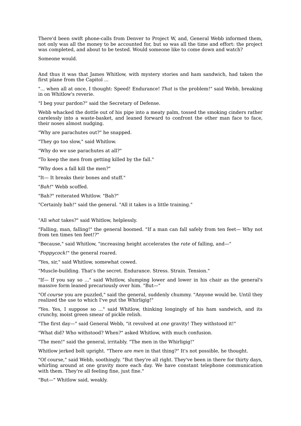There'd been swift phone-calls from Denver to Project W, and, General Webb informed them, not only was all the money to be accounted for, but so was all the time and effort: the project was completed, and about to be tested. Would someone like to come down and watch?

Someone would.

And thus it was that James Whitlow, with mystery stories and ham sandwich, had taken the first plane from the Capitol ...

"... when all at once, I thought: Speed! Endurance! *That* is the problem!" said Webb, breaking in on Whitlow's reverie.

"I beg your pardon?" said the Secretary of Defense.

Webb whacked the dottle out of his pipe into a meaty palm, tossed the smoking cinders rather carelessly into a waste-basket, and leaned forward to confront the other man face to face, their noses almost nudging.

"Why are parachutes out?" he snapped.

"They go too slow," said Whitlow.

"Why do we use parachutes at all?"

"To keep the men from getting killed by the fall."

"Why does a fall kill the men?"

"It— It breaks their bones and stuff."

"*Bah!*" Webb scoffed.

"Bah?" reiterated Whitlow. "Bah?"

"Certainly bah!" said the general. "All it takes is a little training."

"All *what* takes?" said Whitlow, helplessly.

"Falling, man, falling!" the general boomed. "If a man can fall safely from ten feet— Why not from ten times ten feet!?"

"Because," said Whitlow, "increasing height accelerates the *rate* of falling, and—"

"*Poppycock!*" the general roared.

"Yes, sir," said Whitlow, somewhat cowed.

"Muscle-building. That's the secret. Endurance. Stress. Strain. Tension."

"If— If you say so ..." said Whitlow, slumping lower and lower in his chair as the general's massive form leaned precariously over him. "But-"

"Of *course* you are puzzled," said the general, suddenly chummy. "Anyone would be. Until they realized the use to which I've put the Whirligig!"

"Yes. Yes, I suppose so ..." said Whitlow, thinking longingly of his ham sandwich, and its crunchy, moist green smear of pickle relish.

"The first day—" said General Webb, "it revolved at *one* gravity! They withstood it!"

"What did? Who withstood? When?" asked Whitlow, with much confusion.

"The men!" said the general, irritably. "The men in the Whirligig!"

Whitlow jerked bolt upright. "There are *men* in that thing?" It's not possible, he thought.

"Of course," said Webb, soothingly. "But they're all right. They've been in there for thirty days, whirling around at one gravity more each day. We have constant telephone communication with them. They're all feeling fine, just fine."

"But—" Whitlow said, weakly.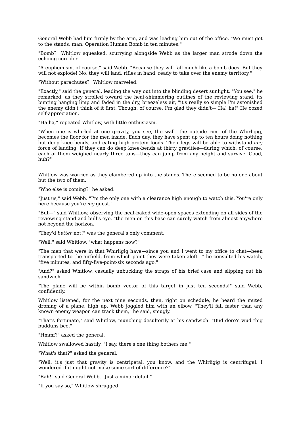General Webb had him firmly by the arm, and was leading him out of the office. "We must get to the stands, man. Operation Human Bomb in ten minutes."

"Bomb?" Whitlow squeaked, scurrying alongside Webb as the larger man strode down the echoing corridor.

"A euphemism, of course," said Webb. "Because they will fall much like a bomb does. But they will not explode! No, they will land, rifles in hand, ready to take over the enemy territory."

"Without parachutes?" Whitlow marveled.

"Exactly," said the general, leading the way out into the blinding desert sunlight. "You see," he remarked, as they strolled toward the heat-shimmering outlines of the reviewing stand, its bunting hanging limp and faded in the dry, breezeless air, "it's really so simple I'm astonished the enemy didn't think of it first. Though, of course, I'm glad they didn't— Ha! ha!" He oozed self-appreciation.

"Ha ha," repeated Whitlow, with little enthusiasm.

"When one is whirled at one gravity, you see, the wall—the outside rim—of the Whirligig, becomes the floor for the men inside. Each day, they have spent up to ten hours doing nothing but deep knee-bends, and eating high protein foods. Their legs will be able to withstand *any* force of landing. If they can do deep knee-bends at thirty gravities—during which, of course, each of them weighed nearly three tons—they can jump from any height and survive. Good, huh?"

Whitlow was worried as they clambered up into the stands. There seemed to be no one about but the two of them.

"Who else is coming?" he asked.

"Just us," said Webb. "I'm the only one with a clearance high enough to watch this. You're only here because you're *my* guest."

"But—" said Whitlow, observing the heat-baked wide-open spaces extending on all sides of the reviewing stand and bull's-eye, "the men on this base can surely watch from almost anywhere not beyond the horizon."

"They'd *better* not!" was the general's only comment.

"Well," said Whitlow, "what happens now?"

"The men that were in that Whirligig have—since you and I went to my office to chat—been transported to the airfield, from which point they were taken aloft—" he consulted his watch, "five minutes, and fifty-five-point-six seconds ago."

"And?" asked Whitlow, casually unbuckling the straps of his brief case and slipping out his sandwich.

"The plane will be within bomb vector of this target in just ten seconds!" said Webb, confidently.

Whitlow listened, for the next nine seconds, then, right on schedule, he heard the muted droning of a plane, high up. Webb joggled him with an elbow. "They'll fall faster than any known enemy weapon can track them," he said, smugly.

"That's fortunate," said Whitlow, munching desultorily at his sandwich. "Bud dere's wud thig budduhs bee."

"Hmmf?" asked the general.

Whitlow swallowed hastily. "I say, there's one thing bothers me."

"What's that?" asked the general.

"Well, it's just that gravity is centripetal, you know, and the Whirligig is centrifugal. I wondered if it might not make some sort of difference?"

"Bah!" said General Webb. "Just a minor detail."

"If you say so," Whitlow shrugged.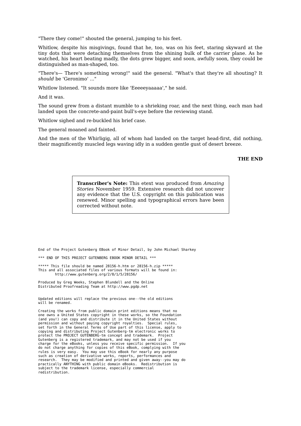"There they come!" shouted the general, jumping to his feet.

Whitlow, despite his misgivings, found that he, too, was on his feet, staring skyward at the tiny dots that were detaching themselves from the shining bulk of the carrier plane. As he watched, his heart beating madly, the dots grew bigger, and soon, awfully soon, they could be distinguished as man-shaped, too.

"There's— There's something wrong!" said the general. "What's that they're all shouting? It *should* be 'Geronimo' ..."

Whitlow listened. "It sounds more like 'Eeeeeyaaaaa'," he said.

And it was.

The sound grew from a distant mumble to a shrieking roar, and the next thing, each man had landed upon the concrete-and-paint bull's-eye before the reviewing stand.

Whitlow sighed and re-buckled his brief case.

The general moaned and fainted.

And the men of the Whirligig, all of whom had landed on the target head-first, did nothing, their magnificently muscled legs waving idly in a sudden gentle gust of desert breeze.

## **THE END**

**Transcriber's Note:** This etext was produced from *Amazing Stories* November 1959. Extensive research did not uncover any evidence that the U.S. copyright on this publication was renewed. Minor spelling and typographical errors have been corrected without note.

End of the Project Gutenberg EBook of Minor Detail, by John Michael Sharkey

\*\*\* END OF THIS PROJECT GUTENBERG EBOOK MINOR DETAIL \*\*\*

\*\*\*\*\* This file should be named 28156-h.htm or 28156-h.zip \*\*\*\*\* This and all associated files of various formats will be found in: http://www.gutenberg.org/2/8/1/5/28156/

Produced by Greg Weeks, Stephen Blundell and the Online Distributed Proofreading Team at http://www.pgdp.net

Updated editions will replace the previous one--the old editions will be renamed.

Creating the works from public domain print editions means that no one owns a United States copyright in these works, so the Foundation (and you!) can copy and distribute it in the United States without permission and without paying copyright royalties. Special rules, set forth in the General Terms of Use part of this license, apply to copying and distributing Project Gutenberg-tm electronic works to protect the PROJECT GUTENBERG-tm concept and trademark. Project Gutenberg is a registered trademark, and may not be used if you charge for the eBooks, unless you receive specific permission. If you do not charge anything for copies of this eBook, complying with the rules is very easy. You may use this eBook for nearly any purpose such as creation of derivative works, reports, performances and research. They may be modified and printed and given away--you may do practically ANYTHING with public domain eBooks. Redistribution is subject to the trademark license, especially commercial redistribution.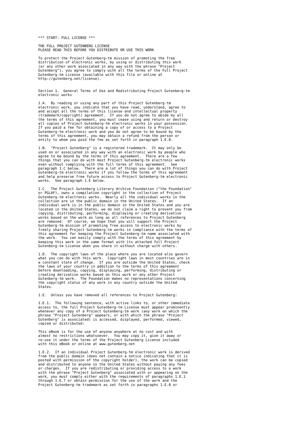\*\*\* START: FULL LICENSE \*\*\*

THE FULL PROJECT GUTENBERG LICENSE PLEASE READ THIS BEFORE YOU DISTRIBUTE OR USE THIS WORK

To protect the Project Gutenberg-tm mission of promoting the free distribution of electronic works, by using or distributing this work (or any other work associated in any way with the phrase "Project Gutenberg"), you agree to comply with all the terms of the Full Project Gutenberg-tm License (available with this file or online at http://gutenberg.net/license).

Section 1. General Terms of Use and Redistributing Project Gutenberg-tm electronic works

1.A. By reading or using any part of this Project Gutenberg-tm electronic work, you indicate that you have read, understand, agree to and accept all the terms of this license and intellectual property (trademark/copyright) agreement. If you do not agree to abide by all the terms of this agreement, you must cease using and return or destroy all copies of Project Gutenberg-tm electronic works in your possession. If you paid a fee for obtaining a copy of or access to a Project Gutenberg-tm electronic work and you do not agree to be bound by the terms of this agreement, you may obtain a refund from the person or entity to whom you paid the fee as set forth in paragraph 1.E.8.

1.B. "Project Gutenberg" is a registered trademark. It may only be used on or associated in any way with an electronic work by people who agree to be bound by the terms of this agreement. There are a few things that you can do with most Project Gutenberg-tm electronic works even without complying with the full terms of this agreement. See paragraph 1.C below. There are a lot of things you can do with Project Gutenberg-tm electronic works if you follow the terms of this agreement and help preserve free future access to Project Gutenberg-tm electronic works. See paragraph 1.E below.

The Project Gutenberg Literary Archive Foundation ("the Foundation" or PGLAF), owns a compilation copyright in the collection of Project Gutenberg-tm electronic works. Nearly all the individual works in the collection are in the public domain in the United States. If an individual work is in the public domain in the United States and you are located in the United States, we do not claim a right to prevent you from copying, distributing, performing, displaying or creating derivative works based on the work as long as all references to Project Gutenberg are removed. Of course, we hope that you will support the Project Gutenberg-tm mission of promoting free access to electronic works by freely sharing Project Gutenberg-tm works in compliance with the terms of this agreement for keeping the Project Gutenberg-tm name associated with the work. You can easily comply with the terms of this agreement by keeping this work in the same format with its attached full Project Gutenberg-tm License when you share it without charge with others.

1.D. The copyright laws of the place where you are located also govern what you can do with this work. Copyright laws in most countries are in a constant state of change. If you are outside the United States, check the laws of your country in addition to the terms of this agreement before downloading, copying, displaying, performing, distributing or creating derivative works based on this work or any other Project Gutenberg-tm work. The Foundation makes no representations concerning the copyright status of any work in any country outside the United States.

1.E. Unless you have removed all references to Project Gutenberg:

1.E.1. The following sentence, with active links to, or other immediate access to, the full Project Gutenberg-tm License must appear prominently whenever any copy of a Project Gutenberg-tm work (any work on which the phrase "Project Gutenberg" appears, or with which the phrase "Project Gutenberg" is associated) is accessed, displayed, performed, viewed, copied or distributed:

This eBook is for the use of anyone anywhere at no cost and with almost no restrictions whatsoever. You may copy it, give it away or re-use it under the terms of the Project Gutenberg License included with this eBook or online at www.gutenberg.net

1.E.2. If an individual Project Gutenberg-tm electronic work is derived from the public domain (does not contain a notice indicating that it is posted with permission of the copyright holder), the work can be copied and distributed to anyone in the United States without paying any fees or charges. If you are redistributing or providing access to a work with the phrase "Project Gutenberg" associated with or appearing on the work, you must comply either with the requirements of paragraphs 1.E.1 through 1.E.7 or obtain permission for the use of the work and the Project Gutenberg-tm trademark as set forth in paragraphs 1.E.8 or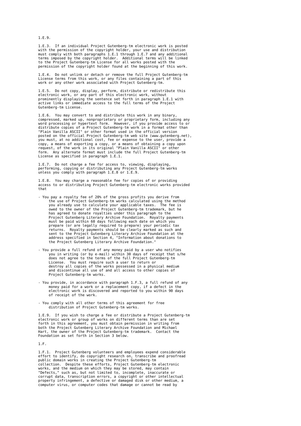1.E.9.

1.E.3. If an individual Project Gutenberg-tm electronic work is posted with the permission of the copyright holder, your use and distribution must comply with both paragraphs 1.E.1 through 1.E.7 and any additional terms imposed by the copyright holder. Additional terms will be linked to the Project Gutenberg-tm License for all works posted with the permission of the copyright holder found at the beginning of this work.

1.E.4. Do not unlink or detach or remove the full Project Gutenberg-tm License terms from this work, or any files containing a part of this work or any other work associated with Project Gutenberg-tm.

1.E.5. Do not copy, display, perform, distribute or redistribute this electronic work, or any part of this electronic work, without prominently displaying the sentence set forth in paragraph 1.E.1 with active links or immediate access to the full terms of the Project Gutenberg-tm License.

1.E.6. You may convert to and distribute this work in any binary, compressed, marked up, nonproprietary or proprietary form, including any word processing or hypertext form. However, if you provide access to or distribute copies of a Project Gutenberg-tm work in a format other than "Plain Vanilla ASCII" or other format used in the official version posted on the official Project Gutenberg-tm web site (www.gutenberg.net), you must, at no additional cost, fee or expense to the user, provide a copy, a means of exporting a copy, or a means of obtaining a copy upon request, of the work in its original "Plain Vanilla ASCII" or other form. Any alternate format must include the full Project Gutenberg-tm License as specified in paragraph 1.E.1.

1.E.7. Do not charge a fee for access to, viewing, displaying, performing, copying or distributing any Project Gutenberg-tm works unless you comply with paragraph 1.E.8 or 1.E.9.

1.E.8. You may charge a reasonable fee for copies of or providing access to or distributing Project Gutenberg-tm electronic works provided that

- You pay a royalty fee of 20% of the gross profits you derive from the use of Project Gutenberg-tm works calculated using the method you already use to calculate your applicable taxes. The fee is owed to the owner of the Project Gutenberg-tm trademark, but he has agreed to donate royalties under this paragraph to the Project Gutenberg Literary Archive Foundation. Royalty payments must be paid within 60 days following each date on which you prepare (or are legally required to prepare) your periodic tax returns. Royalty payments should be clearly marked as such and sent to the Project Gutenberg Literary Archive Foundation at the address specified in Section 4, "Information about donations to the Project Gutenberg Literary Archive Foundation."
- You provide a full refund of any money paid by a user who notifies you in writing (or by e-mail) within 30 days of receipt that s/he does not agree to the terms of the full Project Gutenberg-tm License. You must require such a user to return or destroy all copies of the works possessed in a physical medium and discontinue all use of and all access to other copies of Project Gutenberg-tm works.
- You provide, in accordance with paragraph 1.F.3, a full refund of any money paid for a work or a replacement copy, if a defect in the electronic work is discovered and reported to you within 90 days of receipt of the work.
- You comply with all other terms of this agreement for free distribution of Project Gutenberg-tm works.

1.E.9. If you wish to charge a fee or distribute a Project Gutenberg-tm electronic work or group of works on different terms than are set forth in this agreement, you must obtain permission in writing from both the Project Gutenberg Literary Archive Foundation and Michael Hart, the owner of the Project Gutenberg-tm trademark. Contact the Foundation as set forth in Section 3 below.

1.F.

1.F.1. Project Gutenberg volunteers and employees expend considerable effort to identify, do copyright research on, transcribe and proofread public domain works in creating the Project Gutenberg-tm collection. Despite these efforts, Project Gutenberg-tm electronic works, and the medium on which they may be stored, may contain "Defects," such as, but not limited to, incomplete, inaccurate or corrupt data, transcription errors, a copyright or other intellectual property infringement, a defective or damaged disk or other medium, a computer virus, or computer codes that damage or cannot be read by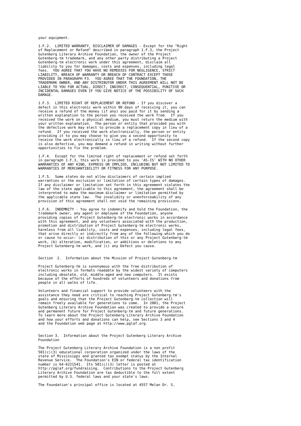your equipment.

1.F.2. LIMITED WARRANTY, DISCLAIMER OF DAMAGES - Except for the "Right of Replacement or Refund" described in paragraph 1.F.3, the Project Gutenberg Literary Archive Foundation, the owner of the Project Gutenberg-tm trademark, and any other party distributing a Project Gutenberg-tm electronic work under this agreement, disclaim all liability to you for damages, costs and expenses, including legal fees. YOU AGREE THAT YOU HAVE NO REMEDIES FOR NEGLIGENCE, STRICT LIABILITY, BREACH OF WARRANTY OR BREACH OF CONTRACT EXCEPT THOSE PROVIDED IN PARAGRAPH F3. YOU AGREE THAT THE FOUNDATION, THE TRADEMARK OWNER, AND ANY DISTRIBUTOR UNDER THIS AGREEMENT WILL NOT BE LIABLE TO YOU FOR ACTUAL, DIRECT, INDIRECT, CONSEQUENTIAL, PUNITIVE OR INCIDENTAL DAMAGES EVEN IF YOU GIVE NOTICE OF THE POSSIBILITY OF SUCH DAMAGE.

1.F.3. LIMITED RIGHT OF REPLACEMENT OR REFUND - If you discover a defect in this electronic work within 90 days of receiving it, you can receive a refund of the money (if any) you paid for it by sending a written explanation to the person you received the work from. If you received the work on a physical medium, you must return the medium with your written explanation. The person or entity that provided you with the defective work may elect to provide a replacement copy in lieu of a refund. If you received the work electronically, the person or entity providing it to you may choose to give you a second opportunity to receive the work electronically in lieu of a refund. If the second copy is also defective, you may demand a refund in writing without further opportunities to fix the problem.

1.F.4. Except for the limited right of replacement or refund set forth in paragraph 1.F.3, this work is provided to you 'AS-IS' WITH NO OTHER WARRANTIES OF ANY KIND, EXPRESS OR IMPLIED, INCLUDING BUT NOT LIMITED TO WARRANTIES OF MERCHANTIBILITY OR FITNESS FOR ANY PURPOSE.

1.F.5. Some states do not allow disclaimers of certain implied warranties or the exclusion or limitation of certain types of damages. If any disclaimer or limitation set forth in this agreement violates the law of the state applicable to this agreement, the agreement shall be interpreted to make the maximum disclaimer or limitation permitted by the applicable state law. The invalidity or unenforceability of any provision of this agreement shall not void the remaining provisions.

1.F.6. INDEMNITY - You agree to indemnify and hold the Foundation, the trademark owner, any agent or employee of the Foundation, anyone providing copies of Project Gutenberg-tm electronic works in accordance with this agreement, and any volunteers associated with the production, promotion and distribution of Project Gutenberg-tm electronic works, harmless from all liability, costs and expenses, including legal fees, that arise directly or indirectly from any of the following which you do or cause to occur: (a) distribution of this or any Project Gutenberg-tm work, (b) alteration, modification, or additions or deletions to any Project Gutenberg-tm work, and (c) any Defect you cause.

Section 2. Information about the Mission of Project Gutenberg-tm

Project Gutenberg-tm is synonymous with the free distribution of electronic works in formats readable by the widest variety of computers including obsolete, old, middle-aged and new computers. It exists because of the efforts of hundreds of volunteers and donations from people in all walks of life.

Volunteers and financial support to provide volunteers with the assistance they need are critical to reaching Project Gutenberg-tm's goals and ensuring that the Project Gutenberg-tm collection will remain freely available for generations to come. In 2001, the Project Gutenberg Literary Archive Foundation was created to provide a secure and permanent future for Project Gutenberg-tm and future generations. To learn more about the Project Gutenberg Literary Archive Foundation and how your efforts and donations can help, see Sections 3 and 4 and the Foundation web page at http://www.pglaf.org.

Section 3. Information about the Project Gutenberg Literary Archive Foundation

The Project Gutenberg Literary Archive Foundation is a non profit  $501(c)(3)$  educational corporation organized under the laws of the state of Mississippi and granted tax exempt status by the Internal Revenue Service. The Foundation's EIN or federal tax identification number is 64-6221541. Its 501(c)(3) letter is posted at http://pglaf.org/fundraising. Contributions to the Project Gutenberg Literary Archive Foundation are tax deductible to the full extent permitted by U.S. federal laws and your state's laws.

The Foundation's principal office is located at 4557 Melan Dr. S.